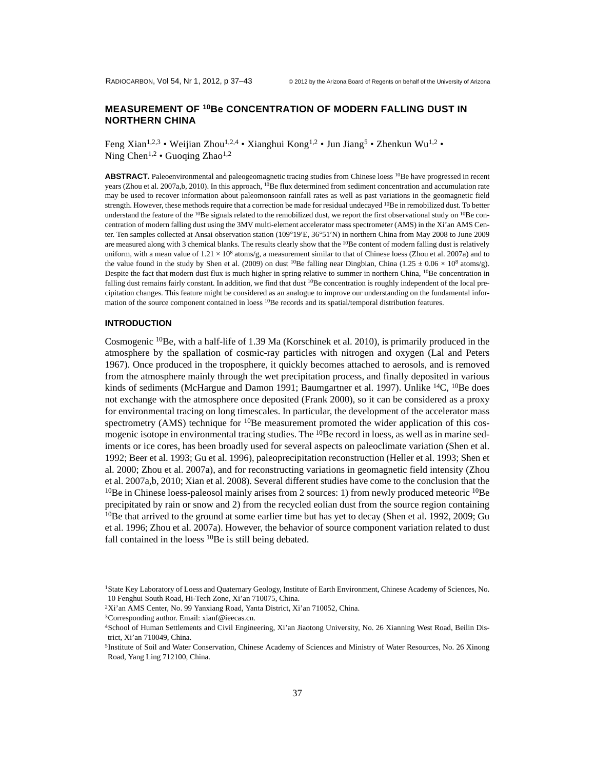## **MEASUREMENT OF 10Be CONCENTRATION OF MODERN FALLING DUST IN NORTHERN CHINA**

Feng Xian<sup>1,2,3</sup> • Weijian Zhou<sup>1,2,4</sup> • Xianghui Kong<sup>1,2</sup> • Jun Jiang<sup>5</sup> • Zhenkun Wu<sup>1,2</sup> • Ning Chen<sup>1,2</sup> • Guoging Zhao<sup>1,2</sup>

ABSTRACT. Paleoenvironmental and paleogeomagnetic tracing studies from Chinese loess <sup>10</sup>Be have progressed in recent years (Zhou et al. 2007a,b, 2010). In this approach, <sup>10</sup>Be flux determined from sediment concentration and accumulation rate may be used to recover information about paleomonsoon rainfall rates as well as past variations in the geomagnetic field strength. However, these methods require that a correction be made for residual undecayed <sup>10</sup>Be in remobilized dust. To better understand the feature of the  $10Be$  signals related to the remobilized dust, we report the first observational study on  $10Be$  concentration of modern falling dust using the 3MV multi-element accelerator mass spectrometer (AMS) in the Xi'an AMS Center. Ten samples collected at Ansai observation station (10919E, 3651N) in northern China from May 2008 to June 2009 are measured along with 3 chemical blanks. The results clearly show that the <sup>10</sup>Be content of modern falling dust is relatively uniform, with a mean value of  $1.21 \times 10^8$  atoms/g, a measurement similar to that of Chinese loess (Zhou et al. 2007a) and to the value found in the study by Shen et al. (2009) on dust <sup>10</sup>Be falling near Dingbian, China (1.25  $\pm$  0.06  $\times$  10<sup>8</sup> atoms/g). Despite the fact that modern dust flux is much higher in spring relative to summer in northern China, <sup>10</sup>Be concentration in falling dust remains fairly constant. In addition, we find that dust <sup>10</sup>Be concentration is roughly independent of the local precipitation changes. This feature might be considered as an analogue to improve our understanding on the fundamental information of the source component contained in loess <sup>10</sup>Be records and its spatial/temporal distribution features.

#### **INTRODUCTION**

Cosmogenic 10Be, with a half-life of 1.39 Ma (Korschinek et al. 2010), is primarily produced in the atmosphere by the spallation of cosmic-ray particles with nitrogen and oxygen (Lal and Peters 1967). Once produced in the troposphere, it quickly becomes attached to aerosols, and is removed from the atmosphere mainly through the wet precipitation process, and finally deposited in various kinds of sediments (McHargue and Damon 1991; Baumgartner et al. 1997). Unlike <sup>14</sup>C, <sup>10</sup>Be does not exchange with the atmosphere once deposited (Frank 2000), so it can be considered as a proxy for environmental tracing on long timescales. In particular, the development of the accelerator mass spectrometry (AMS) technique for  $^{10}$ Be measurement promoted the wider application of this cosmogenic isotope in environmental tracing studies. The <sup>10</sup>Be record in loess, as well as in marine sediments or ice cores, has been broadly used for several aspects on paleoclimate variation (Shen et al. 1992; Beer et al. 1993; Gu et al. 1996), paleoprecipitation reconstruction (Heller et al. 1993; Shen et al. 2000; Zhou et al. 2007a), and for reconstructing variations in geomagnetic field intensity (Zhou et al. 2007a,b, 2010; Xian et al. 2008). Several different studies have come to the conclusion that the <sup>10</sup>Be in Chinese loess-paleosol mainly arises from 2 sources: 1) from newly produced meteoric <sup>10</sup>Be precipitated by rain or snow and 2) from the recycled eolian dust from the source region containing <sup>10</sup>Be that arrived to the ground at some earlier time but has yet to decay (Shen et al. 1992, 2009; Gu et al. 1996; Zhou et al. 2007a). However, the behavior of source component variation related to dust fall contained in the loess <sup>10</sup>Be is still being debated.

<sup>1</sup>State Key Laboratory of Loess and Quaternary Geology, Institute of Earth Environment, Chinese Academy of Sciences, No. 10 Fenghui South Road, Hi-Tech Zone, Xi'an 710075, China.

<sup>2</sup>Xi'an AMS Center, No. 99 Yanxiang Road, Yanta District, Xi'an 710052, China.

<sup>3</sup>Corresponding author. Email: xianf@ieecas.cn.

<sup>4</sup>School of Human Settlements and Civil Engineering, Xi'an Jiaotong University, No. 26 Xianning West Road, Beilin District, Xi'an 710049, China.

<sup>5</sup>Institute of Soil and Water Conservation, Chinese Academy of Sciences and Ministry of Water Resources, No. 26 Xinong Road, Yang Ling 712100, China.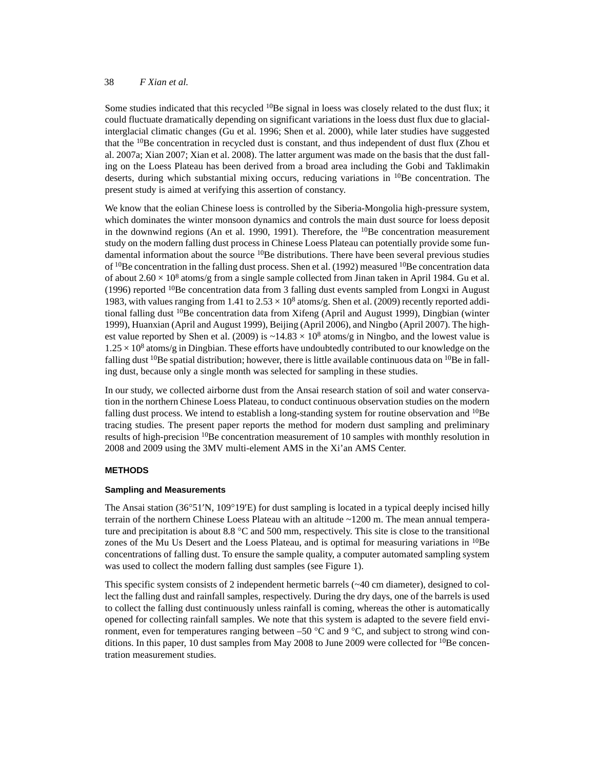## 38 *F Xian et al.*

Some studies indicated that this recycled <sup>10</sup>Be signal in loess was closely related to the dust flux; it could fluctuate dramatically depending on significant variations in the loess dust flux due to glacialinterglacial climatic changes (Gu et al. 1996; Shen et al. 2000), while later studies have suggested that the  $10Be$  concentration in recycled dust is constant, and thus independent of dust flux (Zhou et al. 2007a; Xian 2007; Xian et al. 2008). The latter argument was made on the basis that the dust falling on the Loess Plateau has been derived from a broad area including the Gobi and Taklimakin deserts, during which substantial mixing occurs, reducing variations in  $^{10}$ Be concentration. The present study is aimed at verifying this assertion of constancy.

We know that the eolian Chinese loess is controlled by the Siberia-Mongolia high-pressure system, which dominates the winter monsoon dynamics and controls the main dust source for loess deposit in the downwind regions (An et al. 1990, 1991). Therefore, the  $^{10}$ Be concentration measurement study on the modern falling dust process in Chinese Loess Plateau can potentially provide some fundamental information about the source <sup>10</sup>Be distributions. There have been several previous studies of  $10$ Be concentration in the falling dust process. Shen et al. (1992) measured  $10$ Be concentration data of about  $2.60 \times 10^8$  atoms/g from a single sample collected from Jinan taken in April 1984. Gu et al. (1996) reported  $10B$ e concentration data from 3 falling dust events sampled from Longxi in August 1983, with values ranging from 1.41 to  $2.53 \times 10^8$  atoms/g. Shen et al. (2009) recently reported additional falling dust 10Be concentration data from Xifeng (April and August 1999), Dingbian (winter 1999), Huanxian (April and August 1999), Beijing (April 2006), and Ningbo (April 2007). The highest value reported by Shen et al. (2009) is  $\sim$ 14.83  $\times$  10<sup>8</sup> atoms/g in Ningbo, and the lowest value is  $1.25 \times 10^8$  atoms/g in Dingbian. These efforts have undoubtedly contributed to our knowledge on the falling dust <sup>10</sup>Be spatial distribution; however, there is little available continuous data on <sup>10</sup>Be in falling dust, because only a single month was selected for sampling in these studies.

In our study, we collected airborne dust from the Ansai research station of soil and water conservation in the northern Chinese Loess Plateau, to conduct continuous observation studies on the modern falling dust process. We intend to establish a long-standing system for routine observation and  $^{10}Be$ tracing studies. The present paper reports the method for modern dust sampling and preliminary results of high-precision <sup>10</sup>Be concentration measurement of 10 samples with monthly resolution in 2008 and 2009 using the 3MV multi-element AMS in the Xi'an AMS Center.

## **METHODS**

#### **Sampling and Measurements**

The Ansai station (36°51'N, 109°19'E) for dust sampling is located in a typical deeply incised hilly terrain of the northern Chinese Loess Plateau with an altitude ~1200 m. The mean annual temperature and precipitation is about 8.8  $\degree$ C and 500 mm, respectively. This site is close to the transitional zones of the Mu Us Desert and the Loess Plateau, and is optimal for measuring variations in <sup>10</sup>Be concentrations of falling dust. To ensure the sample quality, a computer automated sampling system was used to collect the modern falling dust samples (see Figure 1).

This specific system consists of 2 independent hermetic barrels (~40 cm diameter), designed to collect the falling dust and rainfall samples, respectively. During the dry days, one of the barrels is used to collect the falling dust continuously unless rainfall is coming, whereas the other is automatically opened for collecting rainfall samples. We note that this system is adapted to the severe field environment, even for temperatures ranging between –50  $\degree$ C and 9  $\degree$ C, and subject to strong wind conditions. In this paper, 10 dust samples from May 2008 to June 2009 were collected for  $10Be$  concentration measurement studies.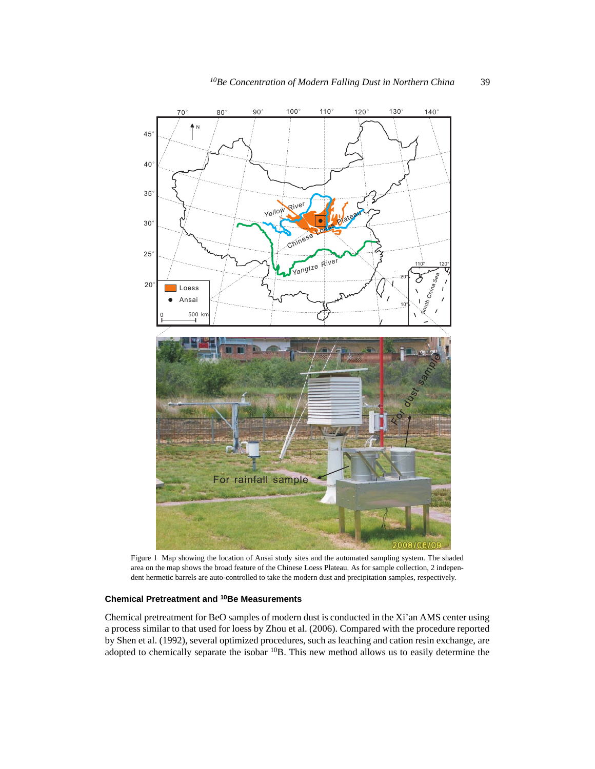

Figure 1 Map showing the location of Ansai study sites and the automated sampling system. The shaded area on the map shows the broad feature of the Chinese Loess Plateau. As for sample collection, 2 independent hermetic barrels are auto-controlled to take the modern dust and precipitation samples, respectively.

# **Chemical Pretreatment and 10Be Measurements**

Chemical pretreatment for BeO samples of modern dust is conducted in the Xi'an AMS center using a process similar to that used for loess by Zhou et al. (2006). Compared with the procedure reported by Shen et al. (1992), several optimized procedures, such as leaching and cation resin exchange, are adopted to chemically separate the isobar 10B. This new method allows us to easily determine the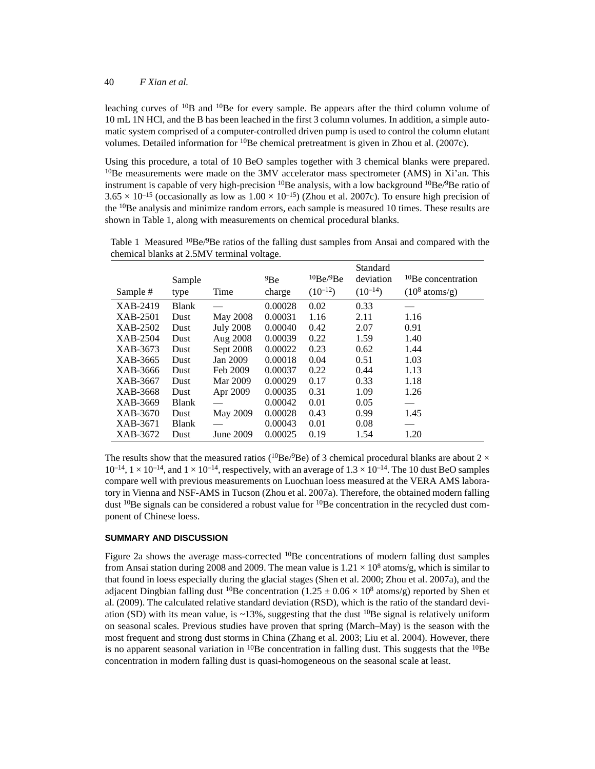leaching curves of  $10B$  and  $10Be$  for every sample. Be appears after the third column volume of 10 mL 1N HCl, and the B has been leached in the first 3 column volumes. In addition, a simple automatic system comprised of a computer-controlled driven pump is used to control the column elutant volumes. Detailed information for <sup>10</sup>Be chemical pretreatment is given in Zhou et al. (2007c).

Using this procedure, a total of 10 BeO samples together with 3 chemical blanks were prepared.  $10$ Be measurements were made on the 3MV accelerator mass spectrometer (AMS) in Xi'an. This instrument is capable of very high-precision  $^{10}$ Be analysis, with a low background  $^{10}$ Be/ $^{9}$ Be ratio of  $3.65 \times 10^{-15}$  (occasionally as low as  $1.00 \times 10^{-15}$ ) (Zhou et al. 2007c). To ensure high precision of the <sup>10</sup>Be analysis and minimize random errors, each sample is measured 10 times. These results are shown in Table 1, along with measurements on chemical procedural blanks.

Table 1 Measured  ${}^{10}Be/{}^{9}Be$  ratios of the falling dust samples from Ansai and compared with the chemical blanks at 2.5MV terminal voltage.

|          | Sample       |                  | 9Be     | 10Be/9Be     | Standard<br>deviation | <sup>10</sup> Be concentration |
|----------|--------------|------------------|---------|--------------|-----------------------|--------------------------------|
| Sample # | type         | Time             | charge  | $(10^{-12})$ | $(10^{-14})$          | $(10^8 \text{ atoms/g})$       |
| XAB-2419 | <b>Blank</b> |                  | 0.00028 | 0.02         | 0.33                  | __                             |
| XAB-2501 | Dust         | May 2008         | 0.00031 | 1.16         | 2.11                  | 1.16                           |
| XAB-2502 | Dust         | <b>July 2008</b> | 0.00040 | 0.42         | 2.07                  | 0.91                           |
| XAB-2504 | Dust         | Aug 2008         | 0.00039 | 0.22         | 1.59                  | 1.40                           |
| XAB-3673 | Dust         | Sept 2008        | 0.00022 | 0.23         | 0.62                  | 1.44                           |
| XAB-3665 | Dust         | Jan 2009         | 0.00018 | 0.04         | 0.51                  | 1.03                           |
| XAB-3666 | Dust         | Feb 2009         | 0.00037 | 0.22         | 0.44                  | 1.13                           |
| XAB-3667 | Dust         | Mar 2009         | 0.00029 | 0.17         | 0.33                  | 1.18                           |
| XAB-3668 | Dust         | Apr 2009         | 0.00035 | 0.31         | 1.09                  | 1.26                           |
| XAB-3669 | Blank        |                  | 0.00042 | 0.01         | 0.05                  |                                |
| XAB-3670 | Dust         | May 2009         | 0.00028 | 0.43         | 0.99                  | 1.45                           |
| XAB-3671 | <b>Blank</b> |                  | 0.00043 | 0.01         | 0.08                  |                                |
| XAB-3672 | Dust         | June 2009        | 0.00025 | 0.19         | 1.54                  | 1.20                           |

The results show that the measured ratios ( $^{10}Be/^{9}Be$ ) of 3 chemical procedural blanks are about 2  $\times$  $10^{-14}$ ,  $1 \times 10^{-14}$ , and  $1 \times 10^{-14}$ , respectively, with an average of  $1.3 \times 10^{-14}$ . The 10 dust BeO samples compare well with previous measurements on Luochuan loess measured at the VERA AMS laboratory in Vienna and NSF-AMS in Tucson (Zhou et al. 2007a). Therefore, the obtained modern falling dust  $^{10}$ Be signals can be considered a robust value for  $^{10}$ Be concentration in the recycled dust component of Chinese loess.

#### **SUMMARY AND DISCUSSION**

Figure 2a shows the average mass-corrected  $^{10}$ Be concentrations of modern falling dust samples from Ansai station during 2008 and 2009. The mean value is  $1.21 \times 10^8$  atoms/g, which is similar to that found in loess especially during the glacial stages (Shen et al. 2000; Zhou et al. 2007a), and the adjacent Dingbian falling dust <sup>10</sup>Be concentration (1.25  $\pm$  0.06  $\times$  10<sup>8</sup> atoms/g) reported by Shen et al. (2009). The calculated relative standard deviation (RSD), which is the ratio of the standard deviation (SD) with its mean value, is  $\sim$ 13%, suggesting that the dust <sup>10</sup>Be signal is relatively uniform on seasonal scales. Previous studies have proven that spring (March–May) is the season with the most frequent and strong dust storms in China (Zhang et al. 2003; Liu et al. 2004). However, there is no apparent seasonal variation in  $^{10}$ Be concentration in falling dust. This suggests that the  $^{10}$ Be concentration in modern falling dust is quasi-homogeneous on the seasonal scale at least.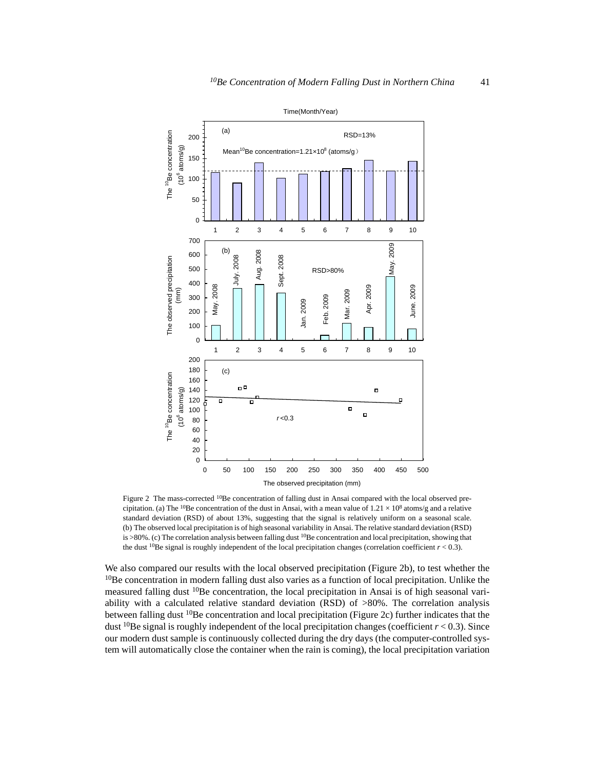

Figure 2 The mass-corrected <sup>10</sup>Be concentration of falling dust in Ansai compared with the local observed precipitation. (a) The <sup>10</sup>Be concentration of the dust in Ansai, with a mean value of  $1.21 \times 10^8$  atoms/g and a relative standard deviation (RSD) of about 13%, suggesting that the signal is relatively uniform on a seasonal scale. (b) The observed local precipitation is of high seasonal variability in Ansai. The relative standard deviation (RSD) is >80%. (c) The correlation analysis between falling dust <sup>10</sup>Be concentration and local precipitation, showing that the dust <sup>10</sup>Be signal is roughly independent of the local precipitation changes (correlation coefficient  $r < 0.3$ ).

We also compared our results with the local observed precipitation (Figure 2b), to test whether the  $10B$ e concentration in modern falling dust also varies as a function of local precipitation. Unlike the measured falling dust <sup>10</sup>Be concentration, the local precipitation in Ansai is of high seasonal variability with a calculated relative standard deviation (RSD) of >80%. The correlation analysis between falling dust  ${}^{10}$ Be concentration and local precipitation (Figure 2c) further indicates that the dust <sup>10</sup>Be signal is roughly independent of the local precipitation changes (coefficient  $r < 0.3$ ). Since our modern dust sample is continuously collected during the dry days (the computer-controlled system will automatically close the container when the rain is coming), the local precipitation variation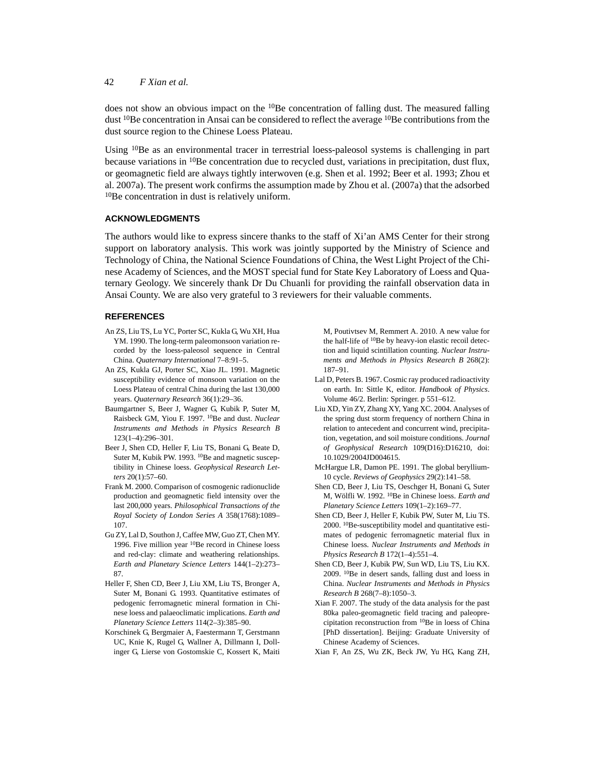42 *F Xian et al.*

does not show an obvious impact on the  $10Be$  concentration of falling dust. The measured falling dust  $^{10}$ Be concentration in Ansai can be considered to reflect the average  $^{10}$ Be contributions from the dust source region to the Chinese Loess Plateau.

Using <sup>10</sup>Be as an environmental tracer in terrestrial loess-paleosol systems is challenging in part because variations in 10Be concentration due to recycled dust, variations in precipitation, dust flux, or geomagnetic field are always tightly interwoven (e.g. Shen et al. 1992; Beer et al. 1993; Zhou et al. 2007a). The present work confirms the assumption made by Zhou et al. (2007a) that the adsorbed 10Be concentration in dust is relatively uniform.

## **ACKNOWLEDGMENTS**

The authors would like to express sincere thanks to the staff of Xi'an AMS Center for their strong support on laboratory analysis. This work was jointly supported by the Ministry of Science and Technology of China, the National Science Foundations of China, the West Light Project of the Chinese Academy of Sciences, and the MOST special fund for State Key Laboratory of Loess and Quaternary Geology. We sincerely thank Dr Du Chuanli for providing the rainfall observation data in Ansai County. We are also very grateful to 3 reviewers for their valuable comments.

## **REFERENCES**

- An ZS, Liu TS, Lu YC, Porter SC, Kukla G, Wu XH, Hua YM. 1990. The long-term paleomonsoon variation recorded by the loess-paleosol sequence in Central China. *Quaternary International* 7–8:91–5.
- An ZS, Kukla GJ, Porter SC, Xiao JL. 1991. Magnetic susceptibility evidence of monsoon variation on the Loess Plateau of central China during the last 130,000 years. *Quaternary Research* 36(1):29–36.
- Baumgartner S, Beer J, Wagner G, Kubik P, Suter M, Raisbeck GM, Yiou F. 1997. 10Be and dust. *Nuclear Instruments and Methods in Physics Research B* 123(1–4):296–301.
- Beer J, Shen CD, Heller F, Liu TS, Bonani G, Beate D, Suter M, Kubik PW. 1993. <sup>10</sup>Be and magnetic susceptibility in Chinese loess. *Geophysical Research Letters* 20(1):57–60.
- Frank M. 2000. Comparison of cosmogenic radionuclide production and geomagnetic field intensity over the last 200,000 years. *Philosophical Transactions of the Royal Society of London Series A* 358(1768):1089– 107.
- Gu ZY, Lal D, Southon J, Caffee MW, Guo ZT, Chen MY. 1996. Five million year 10Be record in Chinese loess and red-clay: climate and weathering relationships. *Earth and Planetary Science Letters* 144(1–2):273– 87.
- Heller F, Shen CD, Beer J, Liu XM, Liu TS, Bronger A, Suter M, Bonani G. 1993. Quantitative estimates of pedogenic ferromagnetic mineral formation in Chinese loess and palaeoclimatic implications. *Earth and Planetary Science Letters* 114(2–3):385–90.
- Korschinek G, Bergmaier A, Faestermann T, Gerstmann UC, Knie K, Rugel G, Wallner A, Dillmann I, Dollinger G, Lierse von Gostomskie C, Kossert K, Maiti

M, Poutivtsev M, Remmert A. 2010. A new value for the half-life of 10Be by heavy-ion elastic recoil detection and liquid scintillation counting. *Nuclear Instruments and Methods in Physics Research B* 268(2): 187–91.

- Lal D, Peters B. 1967. Cosmic ray produced radioactivity on earth. In: Sittle K, editor. *Handbook of Physics*. Volume 46/2. Berlin: Springer. p 551–612.
- Liu XD, Yin ZY, Zhang XY, Yang XC. 2004. Analyses of the spring dust storm frequency of northern China in relation to antecedent and concurrent wind, precipitation, vegetation, and soil moisture conditions. *Journal of Geophysical Research* 109(D16):D16210, doi: 10.1029/2004JD004615.
- McHargue LR, Damon PE. 1991. The global beryllium-10 cycle. *Reviews of Geophysics* 29(2):141–58.
- Shen CD, Beer J, Liu TS, Oeschger H, Bonani G, Suter M, Wölfli W. 1992. 10Be in Chinese loess. *Earth and Planetary Science Letters* 109(1–2):169–77.
- Shen CD, Beer J, Heller F, Kubik PW, Suter M, Liu TS. 2000. 10Be-susceptibility model and quantitative estimates of pedogenic ferromagnetic material flux in Chinese loess. *Nuclear Instruments and Methods in Physics Research B* 172(1–4):551–4.
- Shen CD, Beer J, Kubik PW, Sun WD, Liu TS, Liu KX. 2009. 10Be in desert sands, falling dust and loess in China. *Nuclear Instruments and Methods in Physics Research B* 268(7–8):1050–3.
- Xian F. 2007. The study of the data analysis for the past 80ka paleo-geomagnetic field tracing and paleoprecipitation reconstruction from 10Be in loess of China [PhD dissertation]. Beijing: Graduate University of Chinese Academy of Sciences.
- Xian F, An ZS, Wu ZK, Beck JW, Yu HG, Kang ZH,